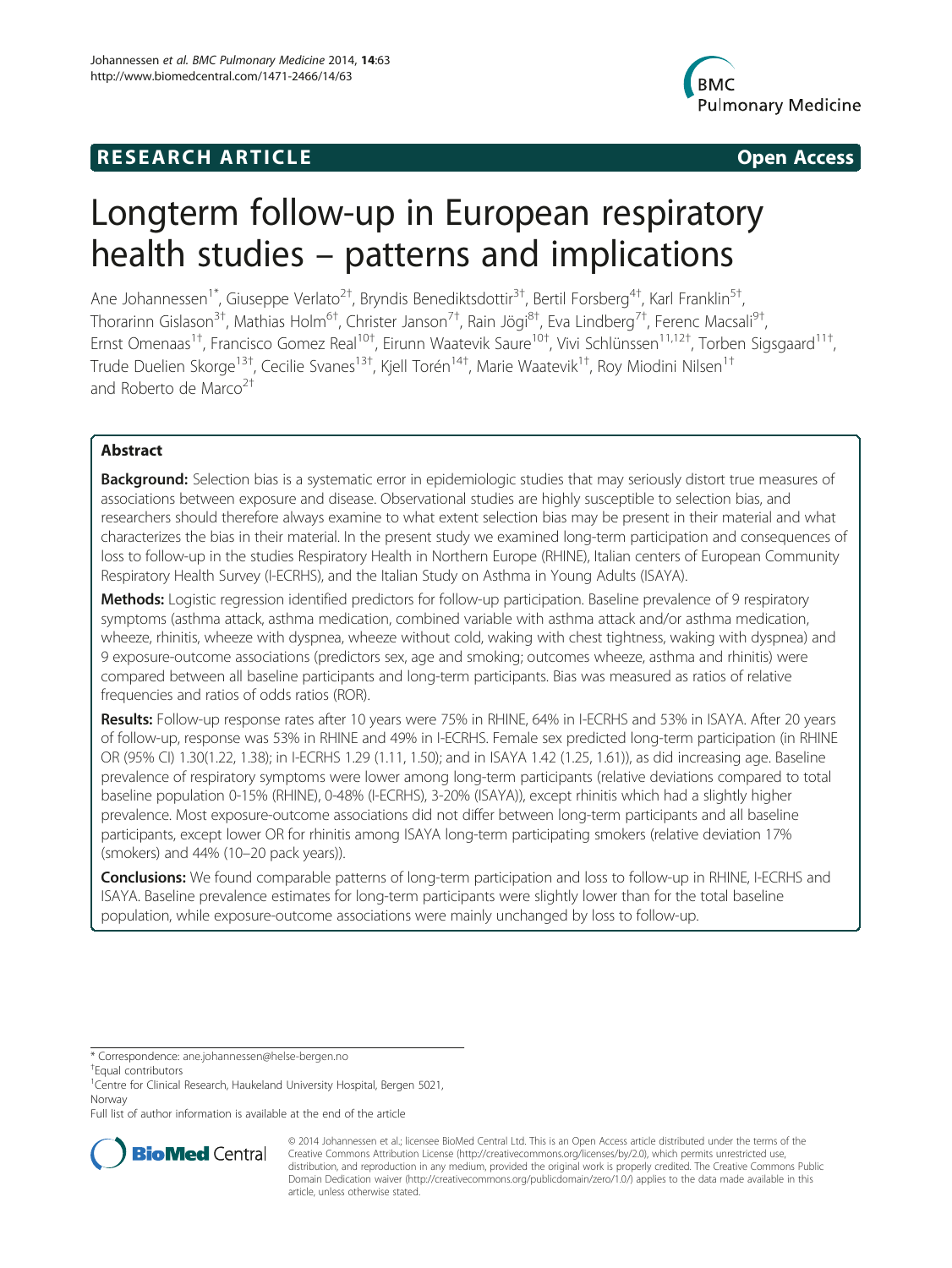## **RESEARCH ARTICLE Example 2014 12:30 The SEAR CHA RESEARCH ARTICLE**



# Longterm follow-up in European respiratory health studies – patterns and implications

Ane Johannessen<sup>1\*</sup>, Giuseppe Verlato<sup>2†</sup>, Bryndis Benediktsdottir<sup>3†</sup>, Bertil Forsberg<sup>4†</sup>, Karl Franklin<sup>5†</sup> , Thorarinn Gislason<sup>3†</sup>, Mathias Holm<sup>6†</sup>, Christer Janson<sup>7†</sup>, Rain Jögi<sup>8†</sup>, Eva Lindberg<sup>7†</sup>, Ferenc Macsali<sup>9†</sup> , Ernst Omenaas<sup>1†</sup>, Francisco Gomez Real<sup>10†</sup>, Eirunn Waatevik Saure<sup>10†</sup>, Vivi Schlünssen<sup>11,12†</sup>, Torben Sigsgaard<sup>11†</sup> , Trude Duelien Skorge<sup>13†</sup>, Cecilie Svanes<sup>13†</sup>, Kjell Torén<sup>14†</sup>, Marie Waatevik<sup>1†</sup>, Roy Miodini Nilsen<sup>1†</sup> and Roberto de Marco<sup>2†</sup>

## Abstract

**Background:** Selection bias is a systematic error in epidemiologic studies that may seriously distort true measures of associations between exposure and disease. Observational studies are highly susceptible to selection bias, and researchers should therefore always examine to what extent selection bias may be present in their material and what characterizes the bias in their material. In the present study we examined long-term participation and consequences of loss to follow-up in the studies Respiratory Health in Northern Europe (RHINE), Italian centers of European Community Respiratory Health Survey (I-ECRHS), and the Italian Study on Asthma in Young Adults (ISAYA).

Methods: Logistic regression identified predictors for follow-up participation. Baseline prevalence of 9 respiratory symptoms (asthma attack, asthma medication, combined variable with asthma attack and/or asthma medication, wheeze, rhinitis, wheeze with dyspnea, wheeze without cold, waking with chest tightness, waking with dyspnea) and 9 exposure-outcome associations (predictors sex, age and smoking; outcomes wheeze, asthma and rhinitis) were compared between all baseline participants and long-term participants. Bias was measured as ratios of relative frequencies and ratios of odds ratios (ROR).

Results: Follow-up response rates after 10 years were 75% in RHINE, 64% in I-ECRHS and 53% in ISAYA. After 20 years of follow-up, response was 53% in RHINE and 49% in I-ECRHS. Female sex predicted long-term participation (in RHINE OR (95% CI) 1.30(1.22, 1.38); in I-ECRHS 1.29 (1.11, 1.50); and in ISAYA 1.42 (1.25, 1.61)), as did increasing age. Baseline prevalence of respiratory symptoms were lower among long-term participants (relative deviations compared to total baseline population 0-15% (RHINE), 0-48% (I-ECRHS), 3-20% (ISAYA)), except rhinitis which had a slightly higher prevalence. Most exposure-outcome associations did not differ between long-term participants and all baseline participants, except lower OR for rhinitis among ISAYA long-term participating smokers (relative deviation 17% (smokers) and 44% (10–20 pack years)).

Conclusions: We found comparable patterns of long-term participation and loss to follow-up in RHINE, I-ECRHS and ISAYA. Baseline prevalence estimates for long-term participants were slightly lower than for the total baseline population, while exposure-outcome associations were mainly unchanged by loss to follow-up.

\* Correspondence: [ane.johannessen@helse-bergen.no](mailto:ane.johannessen@helse-bergen.no) †

Equal contributors

Full list of author information is available at the end of the article



© 2014 Johannessen et al.; licensee BioMed Central Ltd. This is an Open Access article distributed under the terms of the Creative Commons Attribution License (<http://creativecommons.org/licenses/by/2.0>), which permits unrestricted use, distribution, and reproduction in any medium, provided the original work is properly credited. The Creative Commons Public Domain Dedication waiver [\(http://creativecommons.org/publicdomain/zero/1.0/\)](http://creativecommons.org/publicdomain/zero/1.0/) applies to the data made available in this article, unless otherwise stated.

<sup>&</sup>lt;sup>1</sup> Centre for Clinical Research, Haukeland University Hospital, Bergen 5021, Norway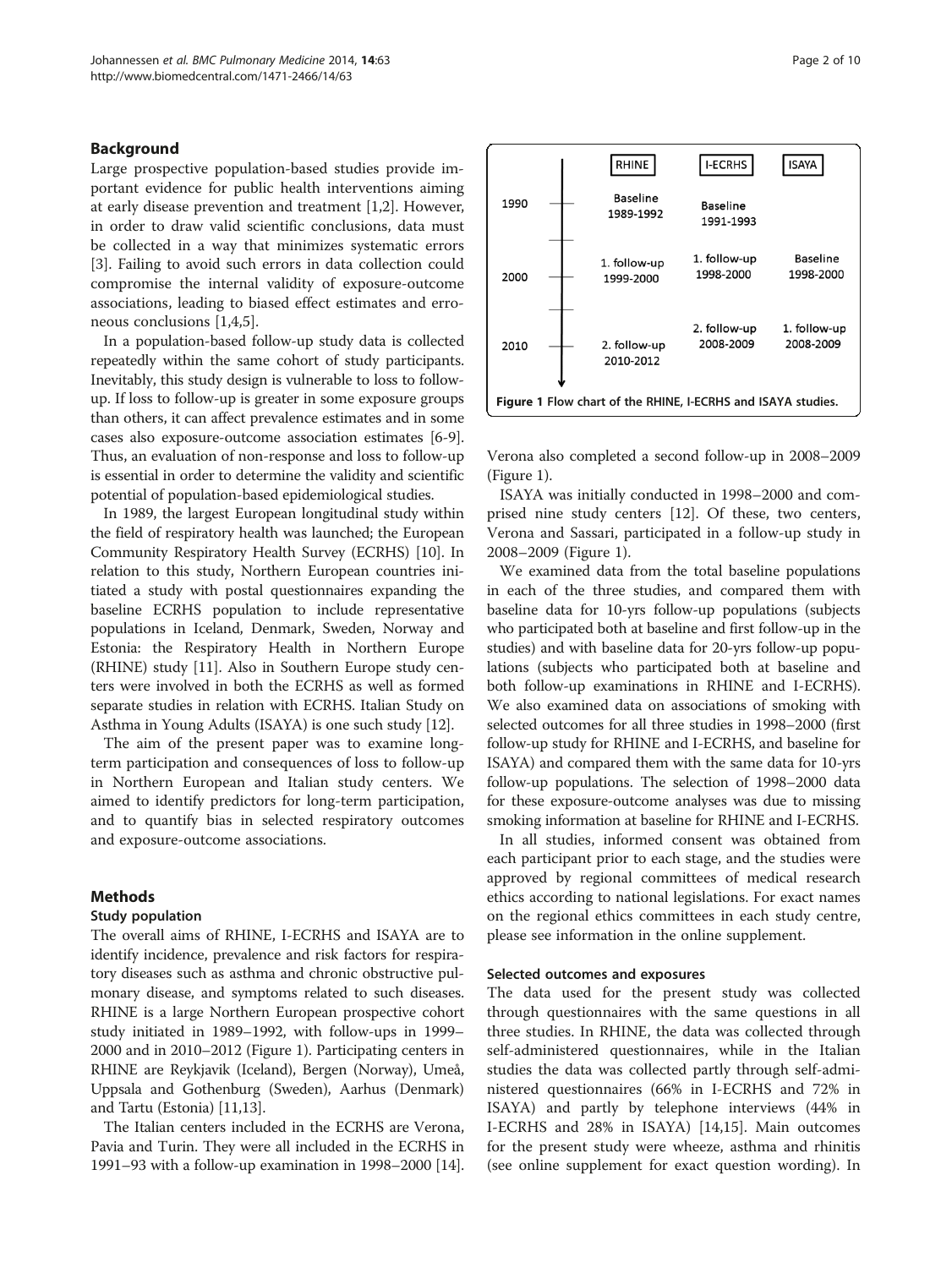## Background

Large prospective population-based studies provide important evidence for public health interventions aiming at early disease prevention and treatment [\[1,2](#page-8-0)]. However, in order to draw valid scientific conclusions, data must be collected in a way that minimizes systematic errors [[3\]](#page-8-0). Failing to avoid such errors in data collection could compromise the internal validity of exposure-outcome associations, leading to biased effect estimates and erroneous conclusions [[1,4,5\]](#page-8-0).

In a population-based follow-up study data is collected repeatedly within the same cohort of study participants. Inevitably, this study design is vulnerable to loss to followup. If loss to follow-up is greater in some exposure groups than others, it can affect prevalence estimates and in some cases also exposure-outcome association estimates [\[6](#page-8-0)-[9](#page-8-0)]. Thus, an evaluation of non-response and loss to follow-up is essential in order to determine the validity and scientific potential of population-based epidemiological studies.

In 1989, the largest European longitudinal study within the field of respiratory health was launched; the European Community Respiratory Health Survey (ECRHS) [\[10\]](#page-8-0). In relation to this study, Northern European countries initiated a study with postal questionnaires expanding the baseline ECRHS population to include representative populations in Iceland, Denmark, Sweden, Norway and Estonia: the Respiratory Health in Northern Europe (RHINE) study [\[11\]](#page-8-0). Also in Southern Europe study centers were involved in both the ECRHS as well as formed separate studies in relation with ECRHS. Italian Study on Asthma in Young Adults (ISAYA) is one such study [\[12](#page-9-0)].

The aim of the present paper was to examine longterm participation and consequences of loss to follow-up in Northern European and Italian study centers. We aimed to identify predictors for long-term participation, and to quantify bias in selected respiratory outcomes and exposure-outcome associations.

## Methods

#### Study population

The overall aims of RHINE, I-ECRHS and ISAYA are to identify incidence, prevalence and risk factors for respiratory diseases such as asthma and chronic obstructive pulmonary disease, and symptoms related to such diseases. RHINE is a large Northern European prospective cohort study initiated in 1989–1992, with follow-ups in 1999– 2000 and in 2010–2012 (Figure 1). Participating centers in RHINE are Reykjavik (Iceland), Bergen (Norway), Umeå, Uppsala and Gothenburg (Sweden), Aarhus (Denmark) and Tartu (Estonia) [[11](#page-8-0)[,13](#page-9-0)].

The Italian centers included in the ECRHS are Verona, Pavia and Turin. They were all included in the ECRHS in 1991–93 with a follow-up examination in 1998–2000 [[14](#page-9-0)]. Verona also completed a second follow-up in 2008–2009 (Figure 1).

ISAYA was initially conducted in 1998–2000 and comprised nine study centers [\[12](#page-9-0)]. Of these, two centers, Verona and Sassari, participated in a follow-up study in 2008–2009 (Figure 1).

We examined data from the total baseline populations in each of the three studies, and compared them with baseline data for 10-yrs follow-up populations (subjects who participated both at baseline and first follow-up in the studies) and with baseline data for 20-yrs follow-up populations (subjects who participated both at baseline and both follow-up examinations in RHINE and I-ECRHS). We also examined data on associations of smoking with selected outcomes for all three studies in 1998–2000 (first follow-up study for RHINE and I-ECRHS, and baseline for ISAYA) and compared them with the same data for 10-yrs follow-up populations. The selection of 1998–2000 data for these exposure-outcome analyses was due to missing smoking information at baseline for RHINE and I-ECRHS.

In all studies, informed consent was obtained from each participant prior to each stage, and the studies were approved by regional committees of medical research ethics according to national legislations. For exact names on the regional ethics committees in each study centre, please see information in the online supplement.

#### Selected outcomes and exposures

The data used for the present study was collected through questionnaires with the same questions in all three studies. In RHINE, the data was collected through self-administered questionnaires, while in the Italian studies the data was collected partly through self-administered questionnaires (66% in I-ECRHS and 72% in ISAYA) and partly by telephone interviews (44% in I-ECRHS and 28% in ISAYA) [[14](#page-9-0),[15](#page-9-0)]. Main outcomes for the present study were wheeze, asthma and rhinitis (see online supplement for exact question wording). In

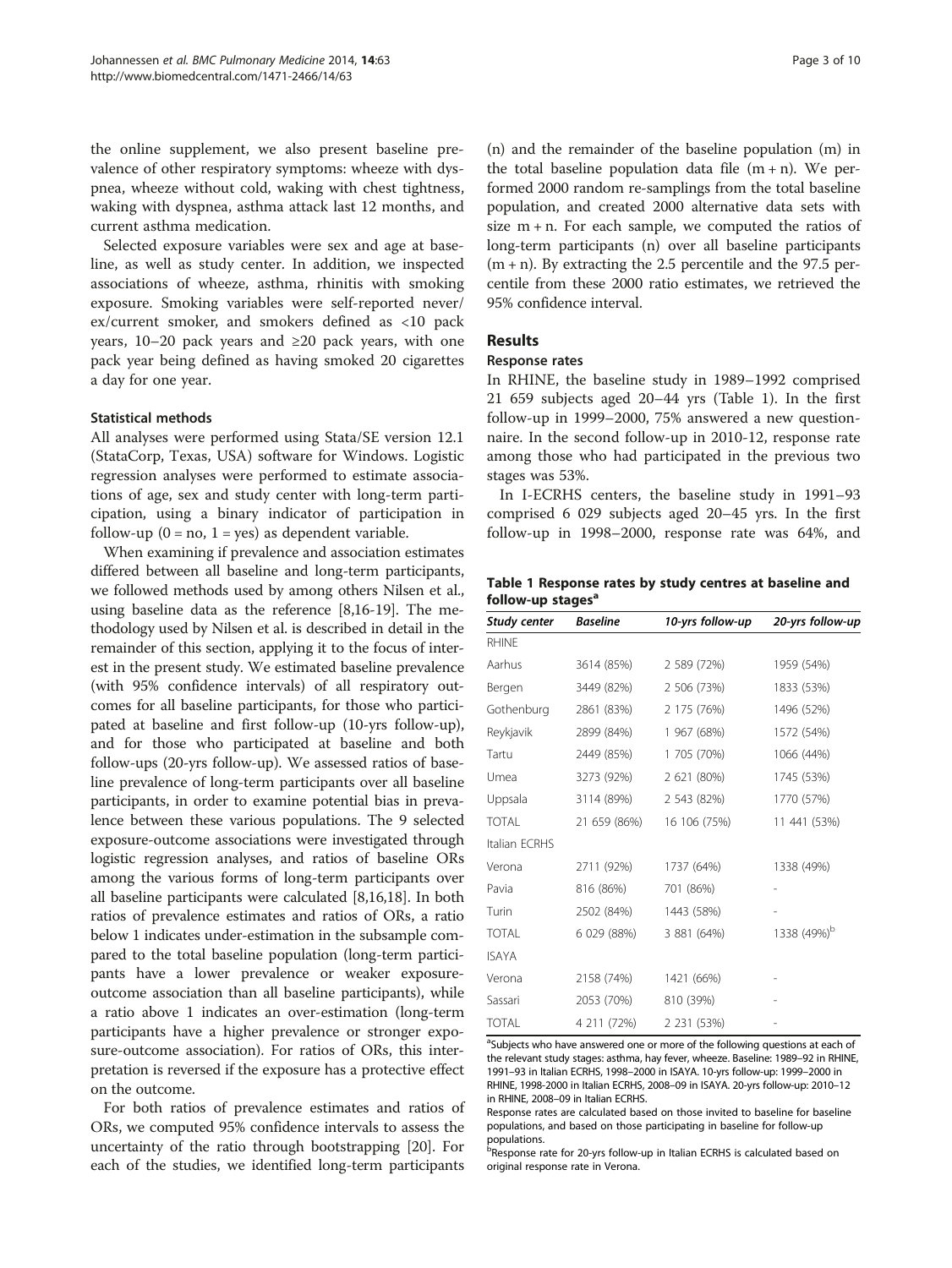<span id="page-2-0"></span>the online supplement, we also present baseline prevalence of other respiratory symptoms: wheeze with dyspnea, wheeze without cold, waking with chest tightness, waking with dyspnea, asthma attack last 12 months, and current asthma medication.

Selected exposure variables were sex and age at baseline, as well as study center. In addition, we inspected associations of wheeze, asthma, rhinitis with smoking exposure. Smoking variables were self-reported never/ ex/current smoker, and smokers defined as <10 pack years,  $10−20$  pack years and ≥20 pack years, with one pack year being defined as having smoked 20 cigarettes a day for one year.

### Statistical methods

All analyses were performed using Stata/SE version 12.1 (StataCorp, Texas, USA) software for Windows. Logistic regression analyses were performed to estimate associations of age, sex and study center with long-term participation, using a binary indicator of participation in follow-up  $(0 = no, 1 = yes)$  as dependent variable.

When examining if prevalence and association estimates differed between all baseline and long-term participants, we followed methods used by among others Nilsen et al., using baseline data as the reference [[8,](#page-8-0)[16](#page-9-0)-[19](#page-9-0)]. The methodology used by Nilsen et al. is described in detail in the remainder of this section, applying it to the focus of interest in the present study. We estimated baseline prevalence (with 95% confidence intervals) of all respiratory outcomes for all baseline participants, for those who participated at baseline and first follow-up (10-yrs follow-up), and for those who participated at baseline and both follow-ups (20-yrs follow-up). We assessed ratios of baseline prevalence of long-term participants over all baseline participants, in order to examine potential bias in prevalence between these various populations. The 9 selected exposure-outcome associations were investigated through logistic regression analyses, and ratios of baseline ORs among the various forms of long-term participants over all baseline participants were calculated [[8](#page-8-0)[,16,18\]](#page-9-0). In both ratios of prevalence estimates and ratios of ORs, a ratio below 1 indicates under-estimation in the subsample compared to the total baseline population (long-term participants have a lower prevalence or weaker exposureoutcome association than all baseline participants), while a ratio above 1 indicates an over-estimation (long-term participants have a higher prevalence or stronger exposure-outcome association). For ratios of ORs, this interpretation is reversed if the exposure has a protective effect on the outcome.

For both ratios of prevalence estimates and ratios of ORs, we computed 95% confidence intervals to assess the uncertainty of the ratio through bootstrapping [[20](#page-9-0)]. For each of the studies, we identified long-term participants

(n) and the remainder of the baseline population (m) in the total baseline population data file  $(m + n)$ . We performed 2000 random re-samplings from the total baseline population, and created 2000 alternative data sets with size  $m + n$ . For each sample, we computed the ratios of long-term participants (n) over all baseline participants  $(m + n)$ . By extracting the 2.5 percentile and the 97.5 percentile from these 2000 ratio estimates, we retrieved the 95% confidence interval.

## Results

#### Response rates

In RHINE, the baseline study in 1989–1992 comprised 21 659 subjects aged 20–44 yrs (Table 1). In the first follow-up in 1999–2000, 75% answered a new questionnaire. In the second follow-up in 2010-12, response rate among those who had participated in the previous two stages was 53%.

In I-ECRHS centers, the baseline study in 1991–93 comprised 6 029 subjects aged 20–45 yrs. In the first follow-up in 1998–2000, response rate was 64%, and

Table 1 Response rates by study centres at baseline and follow-up stages<sup>a</sup>

| Study center  | <b>Baseline</b> | 10-yrs follow-up | 20-yrs follow-up        |
|---------------|-----------------|------------------|-------------------------|
| <b>RHINE</b>  |                 |                  |                         |
| Aarhus        | 3614 (85%)      | 2 589 (72%)      | 1959 (54%)              |
| Bergen        | 3449 (82%)      | 2 506 (73%)      | 1833 (53%)              |
| Gothenburg    | 2861 (83%)      | 2 175 (76%)      | 1496 (52%)              |
| Reykjavik     | 2899 (84%)      | 1 967 (68%)      | 1572 (54%)              |
| Tartu         | 2449 (85%)      | 1 705 (70%)      | 1066 (44%)              |
| Umea          | 3273 (92%)      | 2 621 (80%)      | 1745 (53%)              |
| Uppsala       | 3114 (89%)      | 2 543 (82%)      | 1770 (57%)              |
| <b>TOTAL</b>  | 21 659 (86%)    | 16 106 (75%)     | 11 441 (53%)            |
| Italian ECRHS |                 |                  |                         |
| Verona        | 2711 (92%)      | 1737 (64%)       | 1338 (49%)              |
| Pavia         | 816 (86%)       | 701 (86%)        |                         |
| Turin         | 2502 (84%)      | 1443 (58%)       |                         |
| <b>TOTAL</b>  | 6 029 (88%)     | 3 881 (64%)      | 1338 (49%) <sup>b</sup> |
| <b>ISAYA</b>  |                 |                  |                         |
| Verona        | 2158 (74%)      | 1421 (66%)       |                         |
| Sassari       | 2053 (70%)      | 810 (39%)        |                         |
| <b>TOTAL</b>  | 4 211 (72%)     | 2 231 (53%)      |                         |

<sup>a</sup>Subjects who have answered one or more of the following questions at each of the relevant study stages: asthma, hay fever, wheeze. Baseline: 1989–92 in RHINE, 1991–93 in Italian ECRHS, 1998–2000 in ISAYA. 10-yrs follow-up: 1999–2000 in RHINE, 1998-2000 in Italian ECRHS, 2008–09 in ISAYA. 20-yrs follow-up: 2010–12 in RHINE, 2008–09 in Italian ECRHS.

Response rates are calculated based on those invited to baseline for baseline populations, and based on those participating in baseline for follow-up populations.

**b**Response rate for 20-yrs follow-up in Italian ECRHS is calculated based on original response rate in Verona.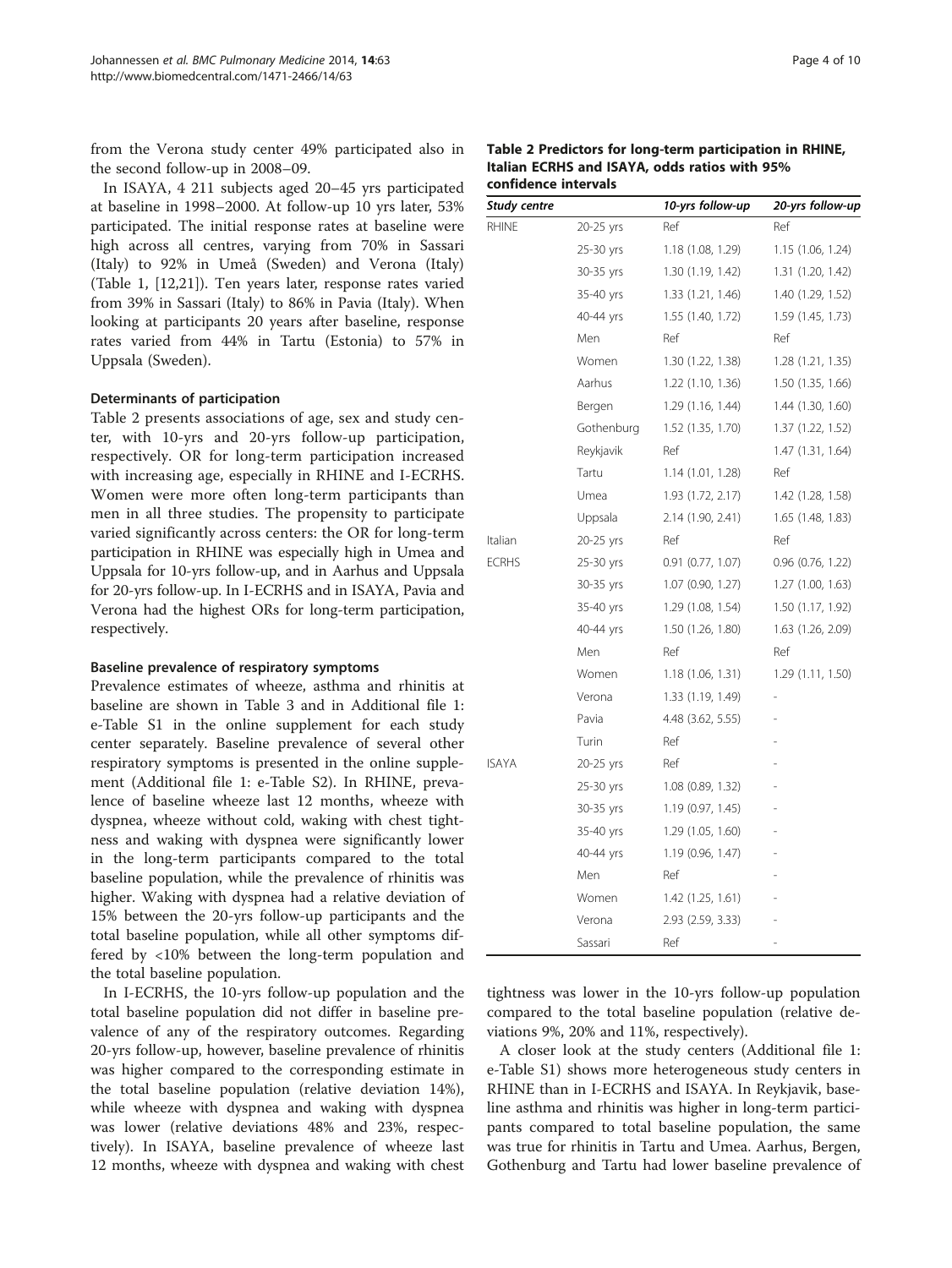from the Verona study center 49% participated also in the second follow-up in 2008–09.

In ISAYA, 4 211 subjects aged 20–45 yrs participated at baseline in 1998–2000. At follow-up 10 yrs later, 53% participated. The initial response rates at baseline were high across all centres, varying from 70% in Sassari (Italy) to 92% in Umeå (Sweden) and Verona (Italy) (Table [1,](#page-2-0) [\[12,21\]](#page-9-0)). Ten years later, response rates varied from 39% in Sassari (Italy) to 86% in Pavia (Italy). When looking at participants 20 years after baseline, response rates varied from 44% in Tartu (Estonia) to 57% in Uppsala (Sweden).

## Determinants of participation

Table 2 presents associations of age, sex and study center, with 10-yrs and 20-yrs follow-up participation, respectively. OR for long-term participation increased with increasing age, especially in RHINE and I-ECRHS. Women were more often long-term participants than men in all three studies. The propensity to participate varied significantly across centers: the OR for long-term participation in RHINE was especially high in Umea and Uppsala for 10-yrs follow-up, and in Aarhus and Uppsala for 20-yrs follow-up. In I-ECRHS and in ISAYA, Pavia and Verona had the highest ORs for long-term participation, respectively.

## Baseline prevalence of respiratory symptoms

Prevalence estimates of wheeze, asthma and rhinitis at baseline are shown in Table [3](#page-4-0) and in Additional file [1](#page-8-0): e-Table S1 in the online supplement for each study center separately. Baseline prevalence of several other respiratory symptoms is presented in the online supplement (Additional file [1:](#page-8-0) e-Table S2). In RHINE, prevalence of baseline wheeze last 12 months, wheeze with dyspnea, wheeze without cold, waking with chest tightness and waking with dyspnea were significantly lower in the long-term participants compared to the total baseline population, while the prevalence of rhinitis was higher. Waking with dyspnea had a relative deviation of 15% between the 20-yrs follow-up participants and the total baseline population, while all other symptoms differed by <10% between the long-term population and the total baseline population.

In I-ECRHS, the 10-yrs follow-up population and the total baseline population did not differ in baseline prevalence of any of the respiratory outcomes. Regarding 20-yrs follow-up, however, baseline prevalence of rhinitis was higher compared to the corresponding estimate in the total baseline population (relative deviation 14%), while wheeze with dyspnea and waking with dyspnea was lower (relative deviations 48% and 23%, respectively). In ISAYA, baseline prevalence of wheeze last 12 months, wheeze with dyspnea and waking with chest

| Table 2 Predictors for long-term participation in RHINE, |
|----------------------------------------------------------|
| Italian ECRHS and ISAYA, odds ratios with 95%            |
| confidence intervals                                     |

| <b>Study centre</b> |            | 10-yrs follow-up      | 20-yrs follow-up      |
|---------------------|------------|-----------------------|-----------------------|
| <b>RHINE</b>        | 20-25 yrs  | Ref                   | Ref                   |
|                     | 25-30 yrs  | 1.18(1.08, 1.29)      | 1.15(1.06, 1.24)      |
|                     | 30-35 yrs  | 1.30(1.19, 1.42)      | 1.31 (1.20, 1.42)     |
|                     | 35-40 yrs  | 1.33(1.21, 1.46)      | 1.40 (1.29, 1.52)     |
|                     | 40-44 yrs  | 1.55 (1.40, 1.72)     | 1.59 (1.45, 1.73)     |
|                     | Men        | Ref                   | Ref                   |
|                     | Women      | 1.30 (1.22, 1.38)     | 1.28 (1.21, 1.35)     |
|                     | Aarhus     | 1.22(1.10, 1.36)      | 1.50 (1.35, 1.66)     |
|                     | Bergen     | 1.29(1.16, 1.44)      | 1.44 (1.30, 1.60)     |
|                     | Gothenburg | 1.52(1.35, 1.70)      | 1.37 (1.22, 1.52)     |
|                     | Reykjavik  | Ref                   | 1.47 (1.31, 1.64)     |
|                     | Tartu      | 1.14(1.01, 1.28)      | Ref                   |
|                     | Umea       | 1.93(1.72, 2.17)      | 1.42 (1.28, 1.58)     |
|                     | Uppsala    | 2.14 (1.90, 2.41)     | 1.65 (1.48, 1.83)     |
| Italian             | 20-25 yrs  | Ref                   | Ref                   |
| <b>ECRHS</b>        | 25-30 yrs  | $0.91$ $(0.77, 1.07)$ | $0.96$ $(0.76, 1.22)$ |
|                     | 30-35 yrs  | 1.07(0.90, 1.27)      | 1.27 (1.00, 1.63)     |
|                     | 35-40 yrs  | 1.29 (1.08, 1.54)     | 1.50 (1.17, 1.92)     |
|                     | 40-44 yrs  | 1.50 (1.26, 1.80)     | 1.63 (1.26, 2.09)     |
|                     | Men        | Ref                   | Ref                   |
|                     | Women      | 1.18(1.06, 1.31)      | 1.29 (1.11, 1.50)     |
|                     | Verona     | 1.33(1.19, 1.49)      |                       |
|                     | Pavia      | 4.48 (3.62, 5.55)     |                       |
|                     | Turin      | Ref                   |                       |
| <b>ISAYA</b>        | 20-25 yrs  | Ref                   |                       |
|                     | 25-30 yrs  | 1.08 (0.89, 1.32)     |                       |
|                     | 30-35 yrs  | 1.19(0.97, 1.45)      |                       |
|                     | 35-40 yrs  | 1.29(1.05, 1.60)      |                       |
|                     | 40-44 yrs  | 1.19 (0.96, 1.47)     |                       |
|                     | Men        | Ref                   |                       |
|                     | Women      | 1.42(1.25, 1.61)      |                       |
|                     | Verona     | 2.93 (2.59, 3.33)     |                       |
|                     | Sassari    | Ref                   |                       |

tightness was lower in the 10-yrs follow-up population compared to the total baseline population (relative deviations 9%, 20% and 11%, respectively).

A closer look at the study centers (Additional file [1](#page-8-0): e-Table S1) shows more heterogeneous study centers in RHINE than in I-ECRHS and ISAYA. In Reykjavik, baseline asthma and rhinitis was higher in long-term participants compared to total baseline population, the same was true for rhinitis in Tartu and Umea. Aarhus, Bergen, Gothenburg and Tartu had lower baseline prevalence of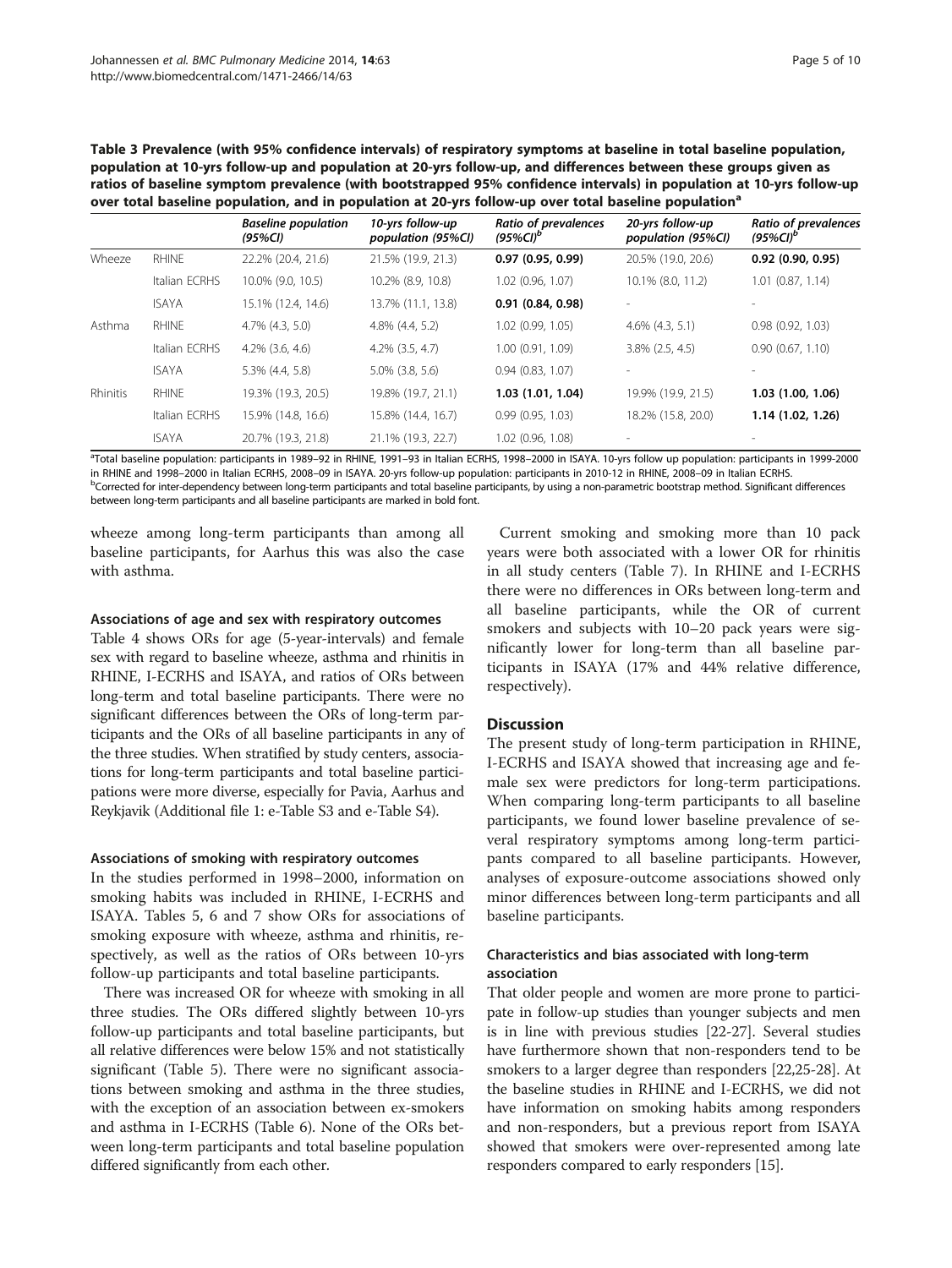<span id="page-4-0"></span>Table 3 Prevalence (with 95% confidence intervals) of respiratory symptoms at baseline in total baseline population, population at 10-yrs follow-up and population at 20-yrs follow-up, and differences between these groups given as ratios of baseline symptom prevalence (with bootstrapped 95% confidence intervals) in population at 10-yrs follow-up over total baseline population, and in population at 20-yrs follow-up over total baseline population<sup>a</sup>

|          |               | <b>Baseline population</b><br>(95%CI) | 10-yrs follow-up<br>population (95%CI) | Ratio of prevalences<br>$(95\%$ CI) <sup>b</sup> | 20-yrs follow-up<br>population (95%Cl) | Ratio of prevalences<br>$(95\%$ CI) <sup>b</sup> |
|----------|---------------|---------------------------------------|----------------------------------------|--------------------------------------------------|----------------------------------------|--------------------------------------------------|
| Wheeze   | <b>RHINE</b>  | 22.2% (20.4, 21.6)                    | 21.5% (19.9, 21.3)                     | 0.97(0.95, 0.99)                                 | 20.5% (19.0, 20.6)                     | $0.92$ (0.90, 0.95)                              |
|          | Italian ECRHS | 10.0% (9.0, 10.5)                     | 10.2% (8.9, 10.8)                      | 1.02 (0.96, 1.07)                                | 10.1% (8.0, 11.2)                      | $1.01$ $(0.87, 1.14)$                            |
|          | <b>ISAYA</b>  | 15.1% (12.4, 14.6)                    | 13.7% (11.1, 13.8)                     | 0.91(0.84, 0.98)                                 |                                        |                                                  |
| Asthma   | <b>RHINE</b>  | $4.7\%$ $(4.3, 5.0)$                  | 4.8% (4.4, 5.2)                        | 1.02 (0.99, 1.05)                                | $4.6\%$ $(4.3, 5.1)$                   | 0.98(0.92, 1.03)                                 |
|          | Italian ECRHS | $4.2\%$ $(3.6, 4.6)$                  | $4.2\%$ $(3.5, 4.7)$                   | 1.00 (0.91, 1.09)                                | 3.8% (2.5, 4.5)                        | 0.90(0.67, 1.10)                                 |
|          | <b>ISAYA</b>  | 5.3% (4.4, 5.8)                       | 5.0% (3.8, 5.6)                        | 0.94(0.83, 1.07)                                 | ۰                                      | $\sim$                                           |
| Rhinitis | <b>RHINF</b>  | 19.3% (19.3, 20.5)                    | 19.8% (19.7, 21.1)                     | 1.03 (1.01, 1.04)                                | 19.9% (19.9, 21.5)                     | 1.03 (1.00, 1.06)                                |
|          | Italian ECRHS | 15.9% (14.8. 16.6)                    | 15.8% (14.4, 16.7)                     | 0.99(0.95, 1.03)                                 | 18.2% (15.8, 20.0)                     | 1.14 (1.02, 1.26)                                |
|          | <b>ISAYA</b>  | 20.7% (19.3, 21.8)                    | 21.1% (19.3, 22.7)                     | 1.02 (0.96, 1.08)                                |                                        |                                                  |

a Total baseline population: participants in 1989–92 in RHINE, 1991–93 in Italian ECRHS, 1998–2000 in ISAYA. 10-yrs follow up population: participants in 1999-2000 in RHINE and 1998–2000 in Italian ECRHS, 2008–09 in ISAYA. 20-yrs follow-up population: participants in 2010-12 in RHINE, 2008–09 in Italian ECRHS. <sup>b</sup> <sup>b</sup>Corrected for inter-dependency between long-term participants and total baseline participants, by using a non-parametric bootstrap method. Significant differences between long-term participants and all baseline participants are marked in bold font.

wheeze among long-term participants than among all baseline participants, for Aarhus this was also the case with asthma.

#### Associations of age and sex with respiratory outcomes

Table [4](#page-5-0) shows ORs for age (5-year-intervals) and female sex with regard to baseline wheeze, asthma and rhinitis in RHINE, I-ECRHS and ISAYA, and ratios of ORs between long-term and total baseline participants. There were no significant differences between the ORs of long-term participants and the ORs of all baseline participants in any of the three studies. When stratified by study centers, associations for long-term participants and total baseline participations were more diverse, especially for Pavia, Aarhus and Reykjavik (Additional file [1](#page-8-0): e-Table S3 and e-Table S4).

#### Associations of smoking with respiratory outcomes

In the studies performed in 1998–2000, information on smoking habits was included in RHINE, I-ECRHS and ISAYA. Tables [5](#page-6-0), [6](#page-6-0) and [7](#page-7-0) show ORs for associations of smoking exposure with wheeze, asthma and rhinitis, respectively, as well as the ratios of ORs between 10-yrs follow-up participants and total baseline participants.

There was increased OR for wheeze with smoking in all three studies. The ORs differed slightly between 10-yrs follow-up participants and total baseline participants, but all relative differences were below 15% and not statistically significant (Table [5\)](#page-6-0). There were no significant associations between smoking and asthma in the three studies, with the exception of an association between ex-smokers and asthma in I-ECRHS (Table [6](#page-6-0)). None of the ORs between long-term participants and total baseline population differed significantly from each other.

Current smoking and smoking more than 10 pack years were both associated with a lower OR for rhinitis in all study centers (Table [7\)](#page-7-0). In RHINE and I-ECRHS there were no differences in ORs between long-term and all baseline participants, while the OR of current smokers and subjects with 10–20 pack years were significantly lower for long-term than all baseline participants in ISAYA (17% and 44% relative difference, respectively).

## **Discussion**

The present study of long-term participation in RHINE, I-ECRHS and ISAYA showed that increasing age and female sex were predictors for long-term participations. When comparing long-term participants to all baseline participants, we found lower baseline prevalence of several respiratory symptoms among long-term participants compared to all baseline participants. However, analyses of exposure-outcome associations showed only minor differences between long-term participants and all baseline participants.

## Characteristics and bias associated with long-term association

That older people and women are more prone to participate in follow-up studies than younger subjects and men is in line with previous studies [[22-27\]](#page-9-0). Several studies have furthermore shown that non-responders tend to be smokers to a larger degree than responders [[22](#page-9-0),[25](#page-9-0)-[28](#page-9-0)]. At the baseline studies in RHINE and I-ECRHS, we did not have information on smoking habits among responders and non-responders, but a previous report from ISAYA showed that smokers were over-represented among late responders compared to early responders [[15](#page-9-0)].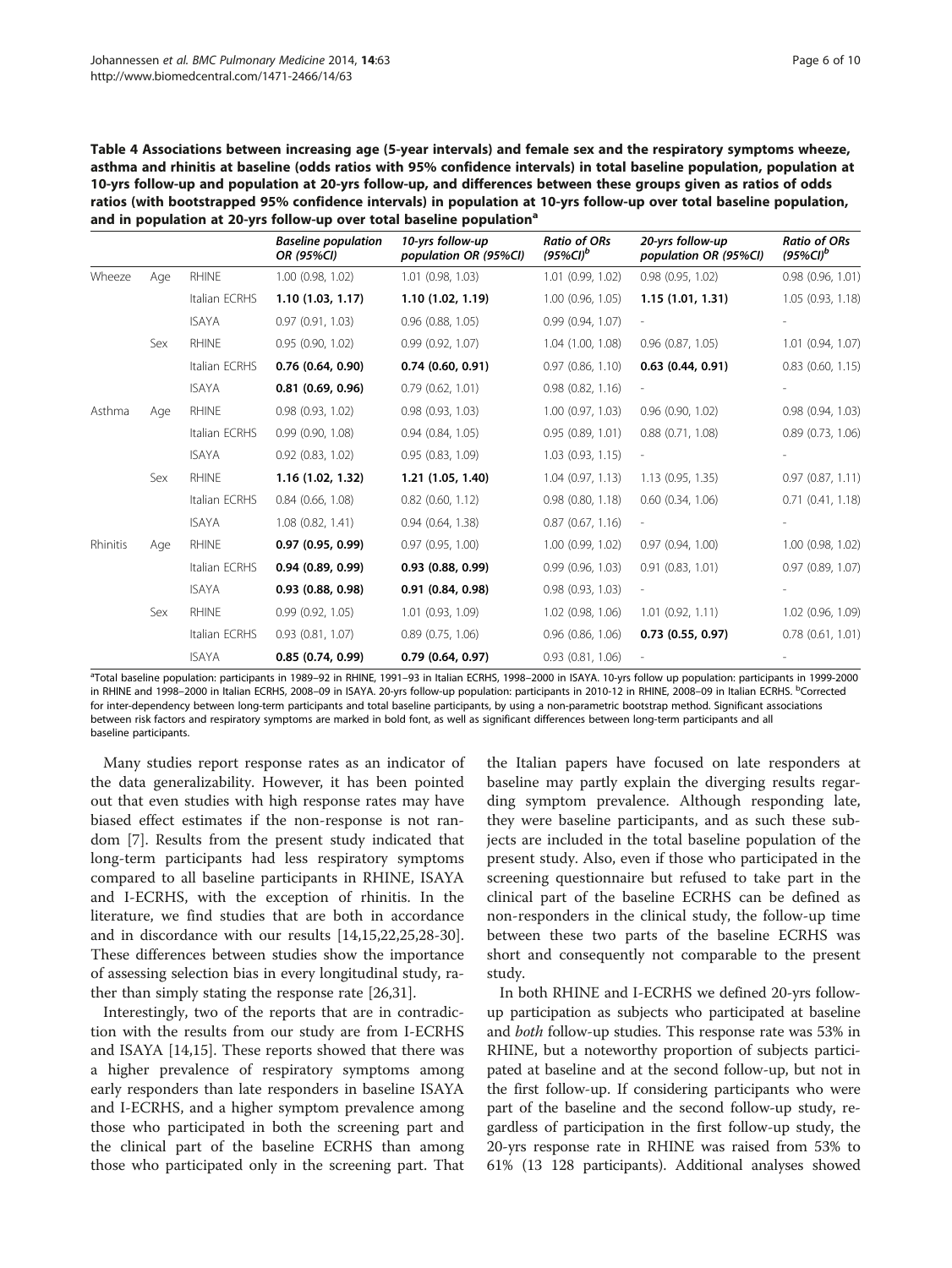<span id="page-5-0"></span>Table 4 Associations between increasing age (5-year intervals) and female sex and the respiratory symptoms wheeze, asthma and rhinitis at baseline (odds ratios with 95% confidence intervals) in total baseline population, population at 10-yrs follow-up and population at 20-yrs follow-up, and differences between these groups given as ratios of odds ratios (with bootstrapped 95% confidence intervals) in population at 10-yrs follow-up over total baseline population, and in population at 20-yrs follow-up over total baseline population<sup>a</sup>

|          |     |               | <b>Baseline population</b><br>OR (95%CI) | 10-yrs follow-up<br>population OR (95%CI) | <b>Ratio of ORs</b><br>$(95\% CI)^{b}$ | 20-yrs follow-up<br>population OR (95%CI) | <b>Ratio of ORs</b><br>$(95\% CI)^{b}$ |
|----------|-----|---------------|------------------------------------------|-------------------------------------------|----------------------------------------|-------------------------------------------|----------------------------------------|
| Wheeze   | Age | <b>RHINE</b>  | 1.00 (0.98, 1.02)                        | $1.01$ $(0.98, 1.03)$                     | $1.01$ $(0.99, 1.02)$                  | 0.98(0.95, 1.02)                          | $0.98$ $(0.96, 1.01)$                  |
|          |     | Italian ECRHS | 1.10(1.03, 1.17)                         | 1.10 (1.02, 1.19)                         | $1.00$ (0.96, 1.05)                    | 1.15(1.01, 1.31)                          | 1.05 (0.93, 1.18)                      |
|          |     | <b>ISAYA</b>  | 0.97(0.91, 1.03)                         | $0.96$ $(0.88, 1.05)$                     | 0.99(0.94, 1.07)                       | $\overline{\phantom{0}}$                  |                                        |
|          | Sex | <b>RHINE</b>  | 0.95(0.90, 1.02)                         | 0.99(0.92, 1.07)                          | $1.04$ $(1.00, 1.08)$                  | $0.96$ $(0.87, 1.05)$                     | 1.01 (0.94, 1.07)                      |
|          |     | Italian ECRHS | $0.76$ $(0.64, 0.90)$                    | 0.74(0.60, 0.91)                          | 0.97(0.86, 1.10)                       | 0.63(0.44, 0.91)                          | $0.83$ $(0.60, 1.15)$                  |
|          |     | <b>ISAYA</b>  | $0.81$ (0.69, 0.96)                      | 0.79(0.62, 1.01)                          | $0.98$ $(0.82, 1.16)$                  |                                           |                                        |
| Asthma   | Age | <b>RHINE</b>  | 0.98(0.93, 1.02)                         | 0.98(0.93, 1.03)                          | 1.00(0.97, 1.03)                       | 0.96(0.90, 1.02)                          | $0.98$ $(0.94, 1.03)$                  |
|          |     | Italian ECRHS | 0.99(0.90, 1.08)                         | 0.94(0.84, 1.05)                          | 0.95(0.89, 1.01)                       | 0.88(0.71, 1.08)                          | $0.89$ $(0.73, 1.06)$                  |
|          |     | <b>ISAYA</b>  | $0.92$ $(0.83, 1.02)$                    | 0.95(0.83, 1.09)                          | $1.03$ $(0.93, 1.15)$                  | $\overline{\phantom{m}}$                  |                                        |
|          | Sex | <b>RHINE</b>  | 1.16 (1.02, 1.32)                        | 1.21 (1.05, 1.40)                         | 1.04(0.97, 1.13)                       | 1.13(0.95, 1.35)                          | $0.97$ $(0.87, 1.11)$                  |
|          |     | Italian ECRHS | $0.84$ $(0.66, 1.08)$                    | $0.82$ $(0.60, 1.12)$                     | 0.98(0.80, 1.18)                       | $0.60$ $(0.34, 1.06)$                     | $0.71$ $(0.41, 1.18)$                  |
|          |     | <b>ISAYA</b>  | 1.08 (0.82, 1.41)                        | 0.94(0.64, 1.38)                          | 0.87(0.67, 1.16)                       | $\qquad \qquad -$                         |                                        |
| Rhinitis | Age | <b>RHINE</b>  | 0.97(0.95, 0.99)                         | 0.97(0.95, 1.00)                          | 1.00 (0.99, 1.02)                      | 0.97(0.94, 1.00)                          | 1.00 (0.98, 1.02)                      |
|          |     | Italian ECRHS | 0.94(0.89, 0.99)                         | 0.93(0.88, 0.99)                          | 0.99(0.96, 1.03)                       | 0.91(0.83, 1.01)                          | $0.97$ $(0.89, 1.07)$                  |
|          |     | <b>ISAYA</b>  | 0.93(0.88, 0.98)                         | $0.91$ $(0.84, 0.98)$                     | 0.98(0.93, 1.03)                       | $\overline{\phantom{a}}$                  |                                        |
|          | Sex | <b>RHINE</b>  | 0.99(0.92, 1.05)                         | 1.01 (0.93, 1.09)                         | 1.02 (0.98, 1.06)                      | 1.01(0.92, 1.11)                          | 1.02 (0.96, 1.09)                      |
|          |     | Italian ECRHS | $0.93$ $(0.81, 1.07)$                    | $0.89$ (0.75, 1.06)                       | $0.96$ $(0.86, 1.06)$                  | 0.73(0.55, 0.97)                          | $0.78$ $(0.61, 1.01)$                  |
|          |     | <b>ISAYA</b>  | 0.85(0.74, 0.99)                         | 0.79(0.64, 0.97)                          | $0.93$ $(0.81, 1.06)$                  |                                           |                                        |

a Total baseline population: participants in 1989–92 in RHINE, 1991–93 in Italian ECRHS, 1998–2000 in ISAYA. 10-yrs follow up population: participants in 1999-2000 in RHINE and 1998–2000 in Italian ECRHS, 2008–09 in ISAYA. 20-yrs follow-up population: participants in 2010-12 in RHINE, 2008–09 in Italian ECRHS. <sup>b</sup>Corrected for inter-dependency between long-term participants and total baseline participants, by using a non-parametric bootstrap method. Significant associations between risk factors and respiratory symptoms are marked in bold font, as well as significant differences between long-term participants and all baseline participants.

Many studies report response rates as an indicator of the data generalizability. However, it has been pointed out that even studies with high response rates may have biased effect estimates if the non-response is not random [[7\]](#page-8-0). Results from the present study indicated that long-term participants had less respiratory symptoms compared to all baseline participants in RHINE, ISAYA and I-ECRHS, with the exception of rhinitis. In the literature, we find studies that are both in accordance and in discordance with our results [\[14,15,22,25,28-30](#page-9-0)]. These differences between studies show the importance of assessing selection bias in every longitudinal study, rather than simply stating the response rate [[26,31](#page-9-0)].

Interestingly, two of the reports that are in contradiction with the results from our study are from I-ECRHS and ISAYA [[14](#page-9-0),[15](#page-9-0)]. These reports showed that there was a higher prevalence of respiratory symptoms among early responders than late responders in baseline ISAYA and I-ECRHS, and a higher symptom prevalence among those who participated in both the screening part and the clinical part of the baseline ECRHS than among those who participated only in the screening part. That the Italian papers have focused on late responders at baseline may partly explain the diverging results regarding symptom prevalence. Although responding late, they were baseline participants, and as such these subjects are included in the total baseline population of the present study. Also, even if those who participated in the screening questionnaire but refused to take part in the clinical part of the baseline ECRHS can be defined as non-responders in the clinical study, the follow-up time between these two parts of the baseline ECRHS was short and consequently not comparable to the present study.

In both RHINE and I-ECRHS we defined 20-yrs followup participation as subjects who participated at baseline and both follow-up studies. This response rate was 53% in RHINE, but a noteworthy proportion of subjects participated at baseline and at the second follow-up, but not in the first follow-up. If considering participants who were part of the baseline and the second follow-up study, regardless of participation in the first follow-up study, the 20-yrs response rate in RHINE was raised from 53% to 61% (13 128 participants). Additional analyses showed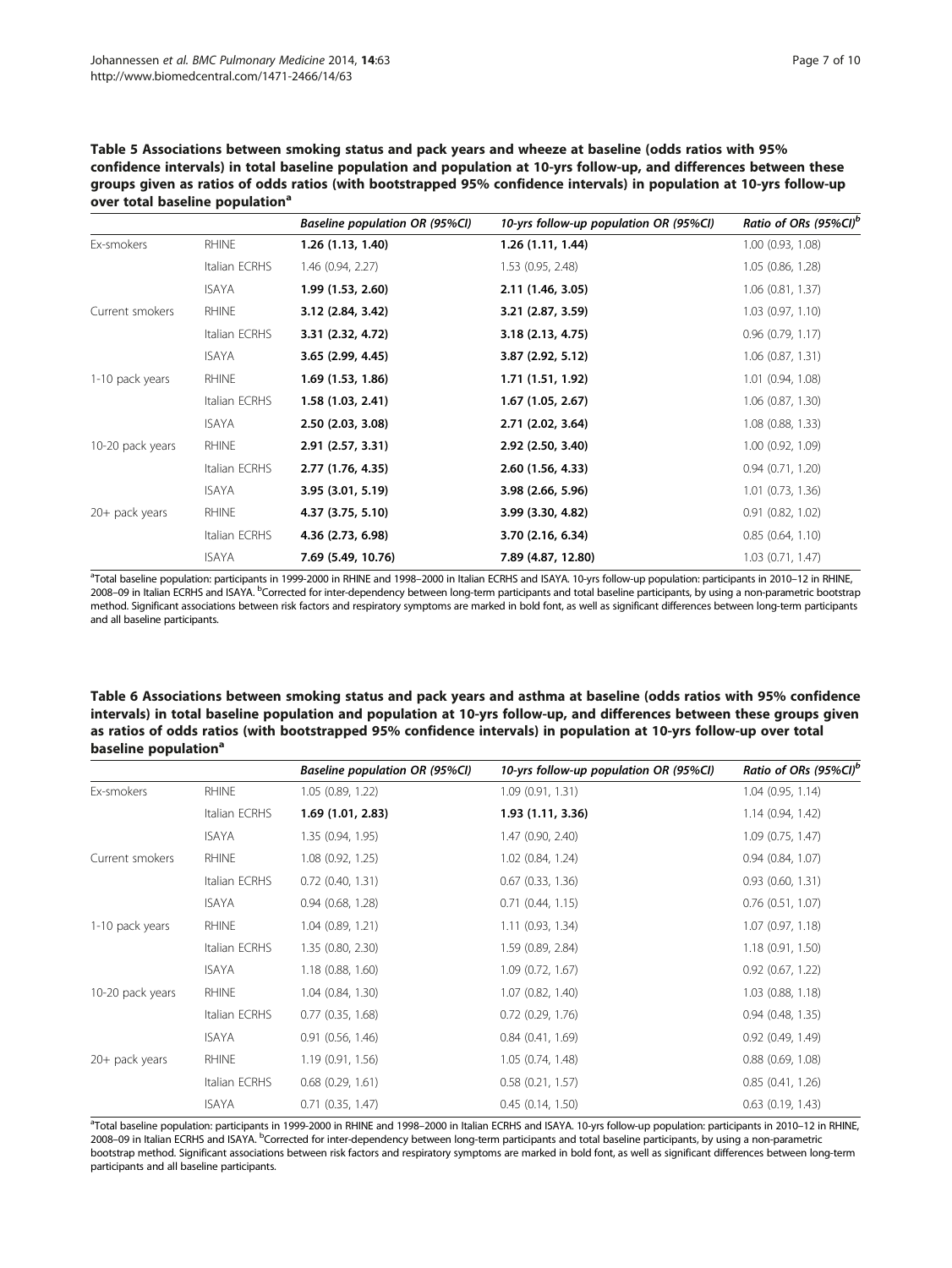<span id="page-6-0"></span>Table 5 Associations between smoking status and pack years and wheeze at baseline (odds ratios with 95% confidence intervals) in total baseline population and population at 10-yrs follow-up, and differences between these groups given as ratios of odds ratios (with bootstrapped 95% confidence intervals) in population at 10-yrs follow-up over total baseline population<sup>a</sup>

|                  |               | <b>Baseline population OR (95%CI)</b> | 10-yrs follow-up population OR (95%CI) | Ratio of ORs (95%CI) <sup>b</sup> |
|------------------|---------------|---------------------------------------|----------------------------------------|-----------------------------------|
| Ex-smokers       | <b>RHINE</b>  | 1.26 (1.13, 1.40)                     | 1.26 (1.11, 1.44)                      | 1.00(0.93, 1.08)                  |
|                  | Italian ECRHS | 1.46 (0.94, 2.27)                     | 1.53 (0.95, 2.48)                      | 1.05 (0.86, 1.28)                 |
|                  | <b>ISAYA</b>  | 1.99 (1.53, 2.60)                     | 2.11 (1.46, 3.05)                      | $1.06$ (0.81, 1.37)               |
| Current smokers  | <b>RHINE</b>  | 3.12 (2.84, 3.42)                     | 3.21 (2.87, 3.59)                      | 1.03(0.97, 1.10)                  |
|                  | Italian ECRHS | 3.31 (2.32, 4.72)                     | 3.18 (2.13, 4.75)                      | 0.96(0.79, 1.17)                  |
|                  | <b>ISAYA</b>  | 3.65 (2.99, 4.45)                     | 3.87 (2.92, 5.12)                      | $1.06$ (0.87, 1.31)               |
| 1-10 pack years  | <b>RHINE</b>  | 1.69 (1.53, 1.86)                     | 1.71 (1.51, 1.92)                      | 1.01 (0.94, 1.08)                 |
|                  | Italian ECRHS | 1.58(1.03, 2.41)                      | 1.67 (1.05, 2.67)                      | 1.06(0.87, 1.30)                  |
|                  | <b>ISAYA</b>  | 2.50(2.03, 3.08)                      | 2.71 (2.02, 3.64)                      | $1.08$ (0.88, 1.33)               |
| 10-20 pack years | <b>RHINE</b>  | 2.91 (2.57, 3.31)                     | 2.92 (2.50, 3.40)                      | 1.00 (0.92, 1.09)                 |
|                  | Italian ECRHS | 2.77 (1.76, 4.35)                     | 2.60 (1.56, 4.33)                      | 0.94(0.71, 1.20)                  |
|                  | <b>ISAYA</b>  | 3.95 (3.01, 5.19)                     | 3.98 (2.66, 5.96)                      | $1.01$ (0.73, 1.36)               |
| 20+ pack years   | <b>RHINE</b>  | 4.37 (3.75, 5.10)                     | 3.99 (3.30, 4.82)                      | 0.91(0.82, 1.02)                  |
|                  | Italian ECRHS | 4.36 (2.73, 6.98)                     | 3.70 (2.16, 6.34)                      | 0.85(0.64, 1.10)                  |
|                  | <b>ISAYA</b>  | 7.69 (5.49, 10.76)                    | 7.89 (4.87, 12.80)                     | 1.03(0.71, 1.47)                  |

a Total baseline population: participants in 1999-2000 in RHINE and 1998–2000 in Italian ECRHS and ISAYA. 10-yrs follow-up population: participants in 2010–12 in RHINE, 2008–09 in Italian ECRHS and ISAYA. <sup>b</sup>Corrected for inter-dependency between long-term participants and total baseline participants, by using a non-parametric bootstrap method. Significant associations between risk factors and respiratory symptoms are marked in bold font, as well as significant differences between long-term participants and all baseline participants.

Table 6 Associations between smoking status and pack years and asthma at baseline (odds ratios with 95% confidence intervals) in total baseline population and population at 10-yrs follow-up, and differences between these groups given as ratios of odds ratios (with bootstrapped 95% confidence intervals) in population at 10-yrs follow-up over total baseline population<sup>a</sup>

|                  |               | <b>Baseline population OR (95%CI)</b> | 10-yrs follow-up population OR (95%CI) | Ratio of ORs (95%CI) <sup>b</sup> |
|------------------|---------------|---------------------------------------|----------------------------------------|-----------------------------------|
| Ex-smokers       | <b>RHINE</b>  | 1.05(0.89, 1.22)                      | 1.09(0.91, 1.31)                       | 1.04(0.95, 1.14)                  |
|                  | Italian ECRHS | 1.69 (1.01, 2.83)                     | 1.93 (1.11, 3.36)                      | 1.14(0.94, 1.42)                  |
|                  | <b>ISAYA</b>  | 1.35 (0.94, 1.95)                     | 1.47 (0.90, 2.40)                      | 1.09(0.75, 1.47)                  |
| Current smokers  | <b>RHINE</b>  | 1.08(0.92, 1.25)                      | 1.02 (0.84, 1.24)                      | 0.94(0.84, 1.07)                  |
|                  | Italian ECRHS | $0.72$ (0.40, 1.31)                   | $0.67$ $(0.33, 1.36)$                  | 0.93(0.60, 1.31)                  |
|                  | <b>ISAYA</b>  | 0.94(0.68, 1.28)                      | $0.71$ $(0.44, 1.15)$                  | $0.76$ $(0.51, 1.07)$             |
| 1-10 pack years  | <b>RHINE</b>  | 1.04(0.89, 1.21)                      | 1.11(0.93, 1.34)                       | 1.07(0.97, 1.18)                  |
|                  | Italian ECRHS | 1.35 (0.80, 2.30)                     | 1.59 (0.89, 2.84)                      | 1.18(0.91, 1.50)                  |
|                  | <b>ISAYA</b>  | $1.18$ (0.88, 1.60)                   | 1.09(0.72, 1.67)                       | 0.92(0.67, 1.22)                  |
| 10-20 pack years | <b>RHINE</b>  | 1.04 (0.84, 1.30)                     | 1.07(0.82, 1.40)                       | 1.03(0.88, 1.18)                  |
|                  | Italian ECRHS | 0.77(0.35, 1.68)                      | $0.72$ $(0.29, 1.76)$                  | 0.94(0.48, 1.35)                  |
|                  | <b>ISAYA</b>  | 0.91(0.56, 1.46)                      | 0.84(0.41, 1.69)                       | 0.92(0.49, 1.49)                  |
| 20+ pack years   | <b>RHINE</b>  | 1.19(0.91, 1.56)                      | 1.05 (0.74, 1.48)                      | 0.88(0.69, 1.08)                  |
|                  | Italian ECRHS | $0.68$ $(0.29, 1.61)$                 | 0.58(0.21, 1.57)                       | 0.85(0.41, 1.26)                  |
|                  | <b>ISAYA</b>  | $0.71$ $(0.35, 1.47)$                 | 0.45(0.14, 1.50)                       | $0.63$ $(0.19, 1.43)$             |

a Total baseline population: participants in 1999-2000 in RHINE and 1998–2000 in Italian ECRHS and ISAYA. 10-yrs follow-up population: participants in 2010–12 in RHINE, 2008–09 in Italian ECRHS and ISAYA. <sup>b</sup>Corrected for inter-dependency between long-term participants and total baseline participants, by using a non-parametric bootstrap method. Significant associations between risk factors and respiratory symptoms are marked in bold font, as well as significant differences between long-term participants and all baseline participants.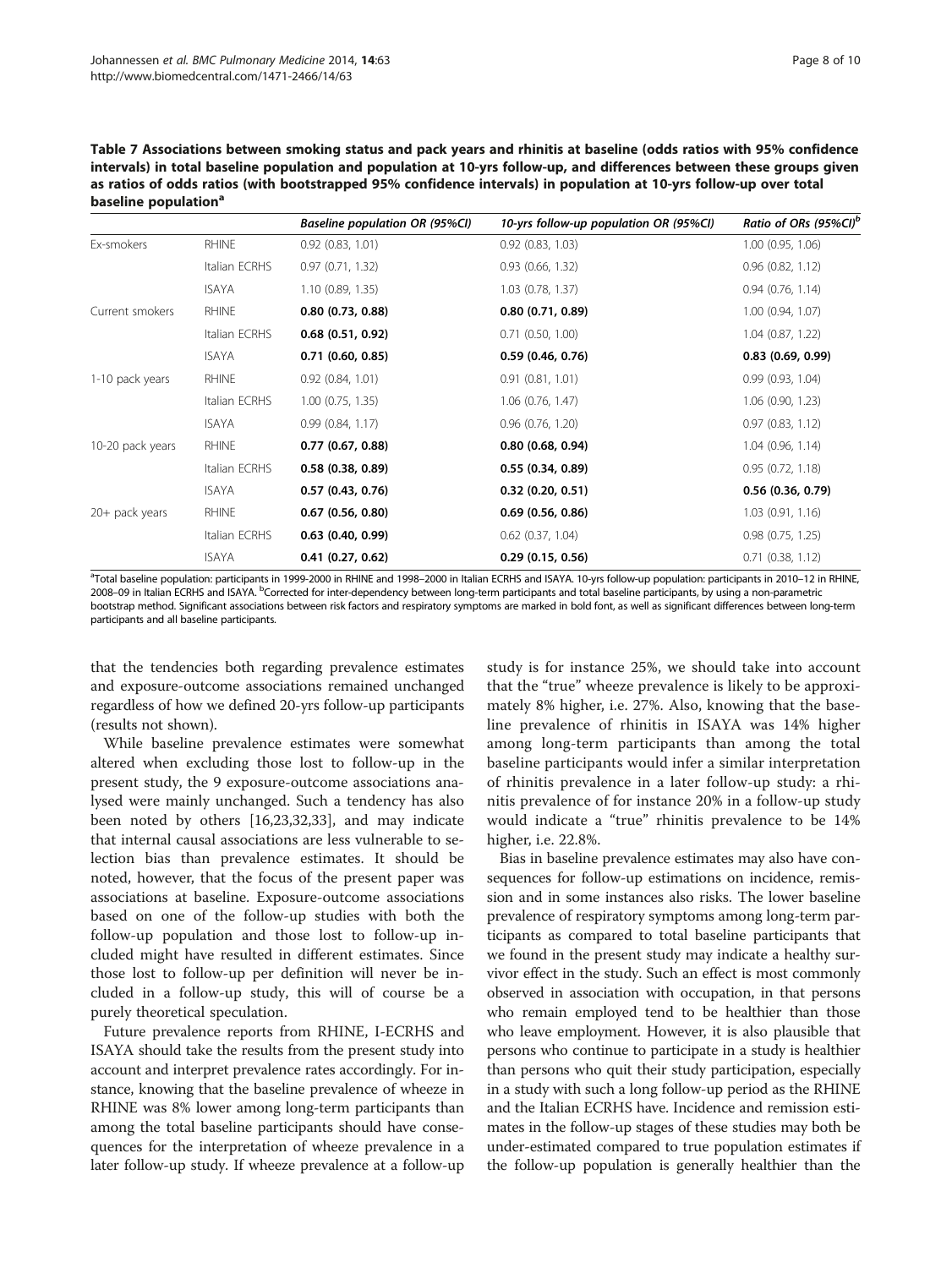<span id="page-7-0"></span>Table 7 Associations between smoking status and pack years and rhinitis at baseline (odds ratios with 95% confidence intervals) in total baseline population and population at 10-yrs follow-up, and differences between these groups given as ratios of odds ratios (with bootstrapped 95% confidence intervals) in population at 10-yrs follow-up over total baseline population<sup>a</sup>

|                  |               | <b>Baseline population OR (95%CI)</b> | 10-yrs follow-up population OR (95%CI) | Ratio of ORs (95%CI) <sup>o</sup> |
|------------------|---------------|---------------------------------------|----------------------------------------|-----------------------------------|
| Ex-smokers       | <b>RHINE</b>  | $0.92$ $(0.83, 1.01)$                 | $0.92$ $(0.83, 1.03)$                  | 1.00(0.95, 1.06)                  |
|                  | Italian ECRHS | 0.97(0.71, 1.32)                      | $0.93$ $(0.66, 1.32)$                  | $0.96$ $(0.82, 1.12)$             |
|                  | <b>ISAYA</b>  | 1.10(0.89, 1.35)                      | $1.03$ (0.78, 1.37)                    | 0.94(0.76, 1.14)                  |
| Current smokers  | RHINE         | 0.80(0.73, 0.88)                      | 0.80(0.71, 0.89)                       | 1.00(0.94, 1.07)                  |
|                  | Italian ECRHS | $0.68$ $(0.51, 0.92)$                 | $0.71$ $(0.50, 1.00)$                  | 1.04(0.87, 1.22)                  |
|                  | <b>ISAYA</b>  | $0.71$ (0.60, 0.85)                   | 0.59(0.46, 0.76)                       | 0.83(0.69, 0.99)                  |
| 1-10 pack years  | <b>RHINE</b>  | 0.92(0.84, 1.01)                      | 0.91(0.81, 1.01)                       | 0.99(0.93, 1.04)                  |
|                  | Italian ECRHS | $1.00$ (0.75, 1.35)                   | $1.06$ (0.76, 1.47)                    | 1.06(0.90, 1.23)                  |
|                  | <b>ISAYA</b>  | 0.99(0.84, 1.17)                      | $0.96$ $(0.76, 1.20)$                  | 0.97(0.83, 1.12)                  |
| 10-20 pack years | <b>RHINE</b>  | 0.77(0.67, 0.88)                      | 0.80(0.68, 0.94)                       | 1.04(0.96, 1.14)                  |
|                  | Italian ECRHS | 0.58(0.38, 0.89)                      | 0.55(0.34, 0.89)                       | 0.95(0.72, 1.18)                  |
|                  | ISAYA         | 0.57(0.43, 0.76)                      | 0.32(0.20, 0.51)                       | 0.56(0.36, 0.79)                  |
| 20+ pack years   | <b>RHINE</b>  | $0.67$ $(0.56, 0.80)$                 | $0.69$ (0.56, 0.86)                    | 1.03(0.91, 1.16)                  |
|                  | Italian ECRHS | $0.63$ (0.40, 0.99)                   | $0.62$ $(0.37, 1.04)$                  | 0.98(0.75, 1.25)                  |
|                  | <b>ISAYA</b>  | 0.41(0.27, 0.62)                      | 0.29(0.15, 0.56)                       | $0.71$ $(0.38, 1.12)$             |

a Total baseline population: participants in 1999-2000 in RHINE and 1998–2000 in Italian ECRHS and ISAYA. 10-yrs follow-up population: participants in 2010–12 in RHINE, 2008–09 in Italian ECRHS and ISAYA. <sup>b</sup>Corrected for inter-dependency between long-term participants and total baseline participants, by using a non-parametric bootstrap method. Significant associations between risk factors and respiratory symptoms are marked in bold font, as well as significant differences between long-term participants and all baseline participants.

that the tendencies both regarding prevalence estimates and exposure-outcome associations remained unchanged regardless of how we defined 20-yrs follow-up participants (results not shown).

While baseline prevalence estimates were somewhat altered when excluding those lost to follow-up in the present study, the 9 exposure-outcome associations analysed were mainly unchanged. Such a tendency has also been noted by others [\[16,23,32,33\]](#page-9-0), and may indicate that internal causal associations are less vulnerable to selection bias than prevalence estimates. It should be noted, however, that the focus of the present paper was associations at baseline. Exposure-outcome associations based on one of the follow-up studies with both the follow-up population and those lost to follow-up included might have resulted in different estimates. Since those lost to follow-up per definition will never be included in a follow-up study, this will of course be a purely theoretical speculation.

Future prevalence reports from RHINE, I-ECRHS and ISAYA should take the results from the present study into account and interpret prevalence rates accordingly. For instance, knowing that the baseline prevalence of wheeze in RHINE was 8% lower among long-term participants than among the total baseline participants should have consequences for the interpretation of wheeze prevalence in a later follow-up study. If wheeze prevalence at a follow-up

study is for instance 25%, we should take into account that the "true" wheeze prevalence is likely to be approximately 8% higher, i.e. 27%. Also, knowing that the baseline prevalence of rhinitis in ISAYA was 14% higher among long-term participants than among the total baseline participants would infer a similar interpretation of rhinitis prevalence in a later follow-up study: a rhinitis prevalence of for instance 20% in a follow-up study would indicate a "true" rhinitis prevalence to be 14% higher, i.e. 22.8%.

Bias in baseline prevalence estimates may also have consequences for follow-up estimations on incidence, remission and in some instances also risks. The lower baseline prevalence of respiratory symptoms among long-term participants as compared to total baseline participants that we found in the present study may indicate a healthy survivor effect in the study. Such an effect is most commonly observed in association with occupation, in that persons who remain employed tend to be healthier than those who leave employment. However, it is also plausible that persons who continue to participate in a study is healthier than persons who quit their study participation, especially in a study with such a long follow-up period as the RHINE and the Italian ECRHS have. Incidence and remission estimates in the follow-up stages of these studies may both be under-estimated compared to true population estimates if the follow-up population is generally healthier than the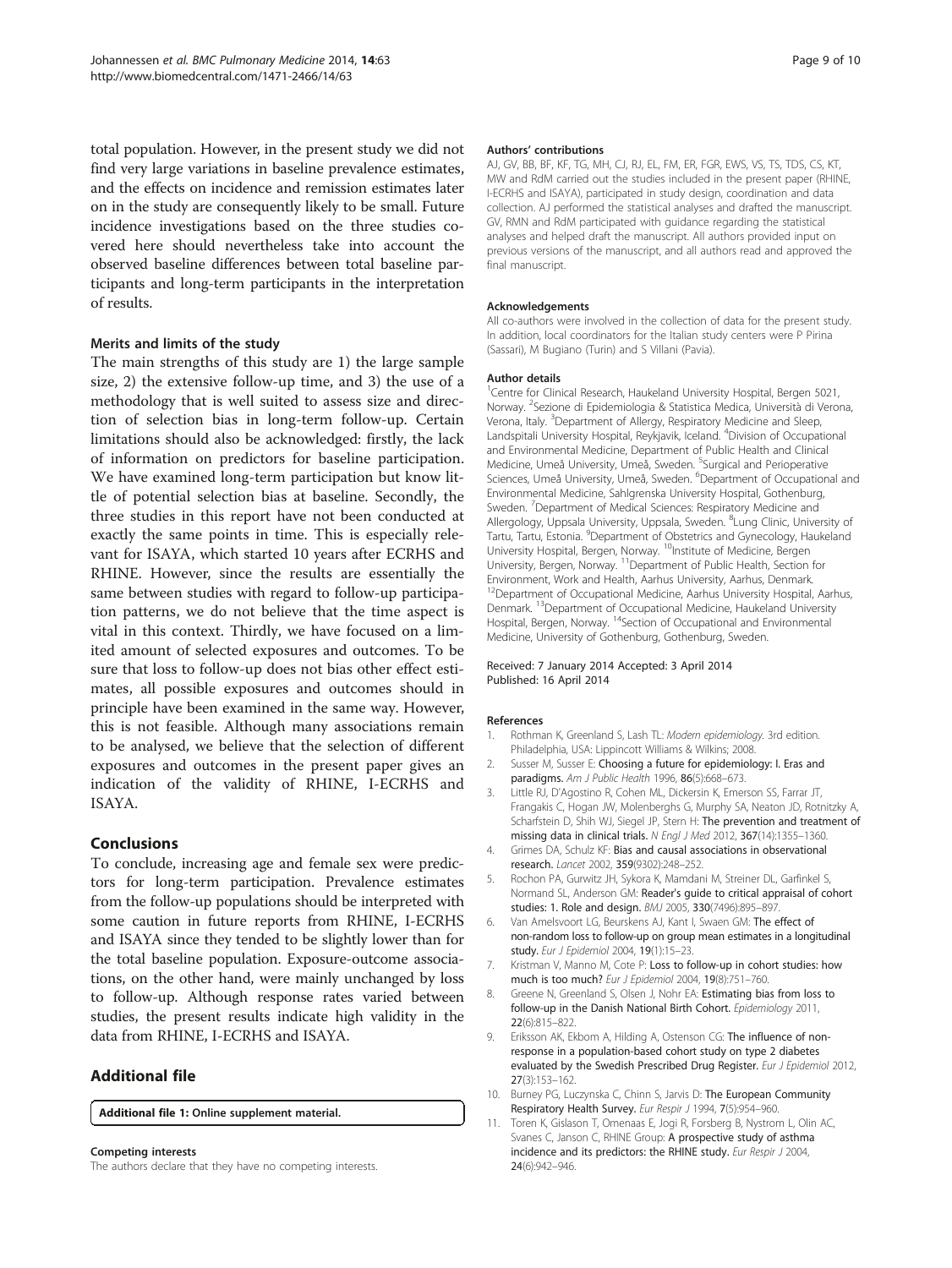<span id="page-8-0"></span>total population. However, in the present study we did not find very large variations in baseline prevalence estimates, and the effects on incidence and remission estimates later on in the study are consequently likely to be small. Future incidence investigations based on the three studies covered here should nevertheless take into account the observed baseline differences between total baseline participants and long-term participants in the interpretation of results.

## Merits and limits of the study

The main strengths of this study are 1) the large sample size, 2) the extensive follow-up time, and 3) the use of a methodology that is well suited to assess size and direction of selection bias in long-term follow-up. Certain limitations should also be acknowledged: firstly, the lack of information on predictors for baseline participation. We have examined long-term participation but know little of potential selection bias at baseline. Secondly, the three studies in this report have not been conducted at exactly the same points in time. This is especially relevant for ISAYA, which started 10 years after ECRHS and RHINE. However, since the results are essentially the same between studies with regard to follow-up participation patterns, we do not believe that the time aspect is vital in this context. Thirdly, we have focused on a limited amount of selected exposures and outcomes. To be sure that loss to follow-up does not bias other effect estimates, all possible exposures and outcomes should in principle have been examined in the same way. However, this is not feasible. Although many associations remain to be analysed, we believe that the selection of different exposures and outcomes in the present paper gives an indication of the validity of RHINE, I-ECRHS and ISAYA.

## Conclusions

To conclude, increasing age and female sex were predictors for long-term participation. Prevalence estimates from the follow-up populations should be interpreted with some caution in future reports from RHINE, I-ECRHS and ISAYA since they tended to be slightly lower than for the total baseline population. Exposure-outcome associations, on the other hand, were mainly unchanged by loss to follow-up. Although response rates varied between studies, the present results indicate high validity in the data from RHINE, I-ECRHS and ISAYA.

## Additional file

[Additional file 1:](http://www.biomedcentral.com/content/supplementary/1471-2466-14-63-S1.docx) Online supplement material.

#### Competing interests

The authors declare that they have no competing interests.

#### Authors' contributions

AJ, GV, BB, BF, KF, TG, MH, CJ, RJ, EL, FM, ER, FGR, EWS, VS, TS, TDS, CS, KT, MW and RdM carried out the studies included in the present paper (RHINE, I-ECRHS and ISAYA), participated in study design, coordination and data collection. AJ performed the statistical analyses and drafted the manuscript. GV, RMN and RdM participated with guidance regarding the statistical analyses and helped draft the manuscript. All authors provided input on previous versions of the manuscript, and all authors read and approved the final manuscript.

#### Acknowledgements

All co-authors were involved in the collection of data for the present study. In addition, local coordinators for the Italian study centers were P Pirina (Sassari), M Bugiano (Turin) and S Villani (Pavia).

#### Author details

<sup>1</sup> Centre for Clinical Research, Haukeland University Hospital, Bergen 5021, Norway. <sup>2</sup>Sezione di Epidemiologia & Statistica Medica, Università di Verona, Verona, Italy. <sup>3</sup>Department of Allergy, Respiratory Medicine and Sleep, Landspitali University Hospital, Reykjavik, Iceland. <sup>4</sup> Division of Occupational and Environmental Medicine, Department of Public Health and Clinical Medicine, Umeå University, Umeå, Sweden. <sup>5</sup>Surgical and Perioperative Sciences, Umeå University, Umeå, Sweden. <sup>6</sup>Department of Occupational and Environmental Medicine, Sahlgrenska University Hospital, Gothenburg, Sweden. <sup>7</sup> Department of Medical Sciences: Respiratory Medicine and Allergology, Uppsala University, Uppsala, Sweden. <sup>8</sup>Lung Clinic, University of Tartu, Tartu, Estonia. <sup>9</sup>Department of Obstetrics and Gynecology, Haukeland University Hospital, Bergen, Norway. <sup>10</sup>Institute of Medicine, Bergen University, Bergen, Norway. 11Department of Public Health, Section for Environment, Work and Health, Aarhus University, Aarhus, Denmark. <sup>12</sup>Department of Occupational Medicine, Aarhus University Hospital, Aarhus, Denmark.<sup>13</sup>Department of Occupational Medicine, Haukeland University Hospital, Bergen, Norway. 14Section of Occupational and Environmental Medicine, University of Gothenburg, Gothenburg, Sweden.

#### Received: 7 January 2014 Accepted: 3 April 2014 Published: 16 April 2014

#### References

- 1. Rothman K, Greenland S, Lash TL: Modern epidemiology. 3rd edition. Philadelphia, USA: Lippincott Williams & Wilkins; 2008.
- 2. Susser M, Susser E: Choosing a future for epidemiology: I. Eras and paradigms. Am J Public Health 1996, 86(5):668–673.
- 3. Little RJ, D'Agostino R, Cohen ML, Dickersin K, Emerson SS, Farrar JT, Frangakis C, Hogan JW, Molenberghs G, Murphy SA, Neaton JD, Rotnitzky A, Scharfstein D, Shih WJ, Siegel JP, Stern H: The prevention and treatment of missing data in clinical trials. N Engl J Med 2012, 367(14):1355–1360.
- 4. Grimes DA, Schulz KF: Bias and causal associations in observational research. Lancet 2002, 359(9302):248–252.
- 5. Rochon PA, Gurwitz JH, Sykora K, Mamdani M, Streiner DL, Garfinkel S, Normand SL, Anderson GM: Reader's guide to critical appraisal of cohort studies: 1. Role and design. BMJ 2005, 330(7496):895–897.
- 6. Van Amelsvoort LG, Beurskens AJ, Kant I, Swaen GM: The effect of non-random loss to follow-up on group mean estimates in a longitudinal study. Eur J Epidemiol 2004, 19(1):15-23.
- 7. Kristman V, Manno M, Cote P: Loss to follow-up in cohort studies: how much is too much? Eur J Epidemiol 2004, 19(8):751–760.
- 8. Greene N, Greenland S, Olsen J, Nohr EA: Estimating bias from loss to follow-up in the Danish National Birth Cohort. Epidemiology 2011, 22(6):815–822.
- Eriksson AK, Ekbom A, Hilding A, Ostenson CG: The influence of nonresponse in a population-based cohort study on type 2 diabetes evaluated by the Swedish Prescribed Drug Register. Eur J Epidemiol 2012, 27(3):153–162.
- 10. Burney PG, Luczynska C, Chinn S, Jarvis D: The European Community Respiratory Health Survey. Eur Respir J 1994, 7(5):954-960.
- 11. Toren K, Gislason T, Omenaas E, Jogi R, Forsberg B, Nystrom L, Olin AC, Svanes C, Janson C, RHINE Group: A prospective study of asthma incidence and its predictors: the RHINE study. Eur Respir J 2004, 24(6):942–946.